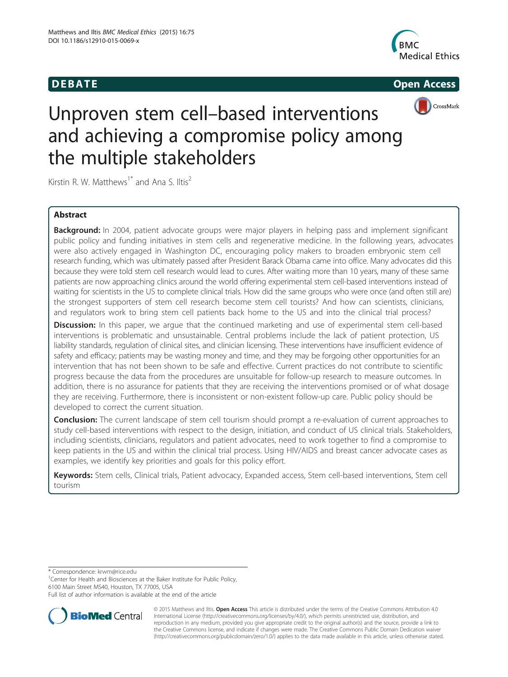

**DEBATE CONSIDERENT CONSIDERED ACCESS** 



# Unproven stem cell–based interventions and achieving a compromise policy among the multiple stakeholders

Kirstin R. W. Matthews<sup>1\*</sup> and Ana S. Iltis<sup>2</sup>

# Abstract

Background: In 2004, patient advocate groups were major players in helping pass and implement significant public policy and funding initiatives in stem cells and regenerative medicine. In the following years, advocates were also actively engaged in Washington DC, encouraging policy makers to broaden embryonic stem cell research funding, which was ultimately passed after President Barack Obama came into office. Many advocates did this because they were told stem cell research would lead to cures. After waiting more than 10 years, many of these same patients are now approaching clinics around the world offering experimental stem cell-based interventions instead of waiting for scientists in the US to complete clinical trials. How did the same groups who were once (and often still are) the strongest supporters of stem cell research become stem cell tourists? And how can scientists, clinicians, and regulators work to bring stem cell patients back home to the US and into the clinical trial process?

**Discussion:** In this paper, we argue that the continued marketing and use of experimental stem cell-based interventions is problematic and unsustainable. Central problems include the lack of patient protection, US liability standards, regulation of clinical sites, and clinician licensing. These interventions have insufficient evidence of safety and efficacy; patients may be wasting money and time, and they may be forgoing other opportunities for an intervention that has not been shown to be safe and effective. Current practices do not contribute to scientific progress because the data from the procedures are unsuitable for follow-up research to measure outcomes. In addition, there is no assurance for patients that they are receiving the interventions promised or of what dosage they are receiving. Furthermore, there is inconsistent or non-existent follow-up care. Public policy should be developed to correct the current situation.

**Conclusion:** The current landscape of stem cell tourism should prompt a re-evaluation of current approaches to study cell-based interventions with respect to the design, initiation, and conduct of US clinical trials. Stakeholders, including scientists, clinicians, regulators and patient advocates, need to work together to find a compromise to keep patients in the US and within the clinical trial process. Using HIV/AIDS and breast cancer advocate cases as examples, we identify key priorities and goals for this policy effort.

Keywords: Stem cells, Clinical trials, Patient advocacy, Expanded access, Stem cell-based interventions, Stem cell tourism

\* Correspondence: [krwm@rice.edu](mailto:krwm@rice.edu) <sup>1</sup>

<sup>1</sup> Center for Health and Biosciences at the Baker Institute for Public Policy, 6100 Main Street MS40, Houston, TX 77005, USA

Full list of author information is available at the end of the article



© 2015 Matthews and Iltis. Open Access This article is distributed under the terms of the Creative Commons Attribution 4.0 International License [\(http://creativecommons.org/licenses/by/4.0/](http://creativecommons.org/licenses/by/4.0/)), which permits unrestricted use, distribution, and reproduction in any medium, provided you give appropriate credit to the original author(s) and the source, provide a link to the Creative Commons license, and indicate if changes were made. The Creative Commons Public Domain Dedication waiver [\(http://creativecommons.org/publicdomain/zero/1.0/](http://creativecommons.org/publicdomain/zero/1.0/)) applies to the data made available in this article, unless otherwise stated.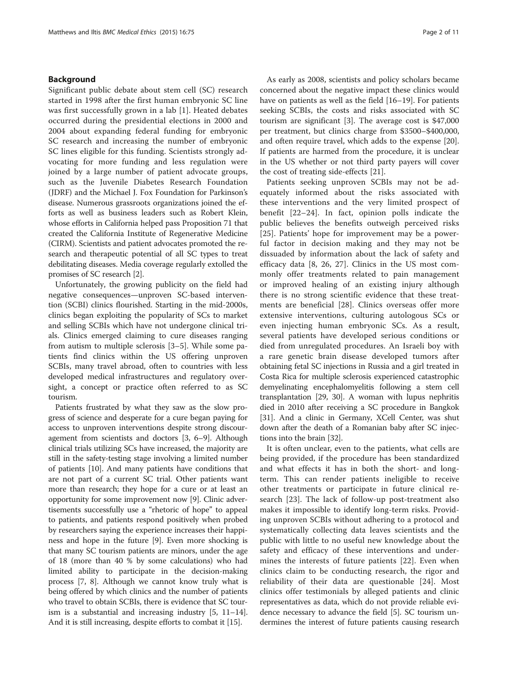# Background

Significant public debate about stem cell (SC) research started in 1998 after the first human embryonic SC line was first successfully grown in a lab [\[1](#page-8-0)]. Heated debates occurred during the presidential elections in 2000 and 2004 about expanding federal funding for embryonic SC research and increasing the number of embryonic SC lines eligible for this funding. Scientists strongly advocating for more funding and less regulation were joined by a large number of patient advocate groups, such as the Juvenile Diabetes Research Foundation (JDRF) and the Michael J. Fox Foundation for Parkinson's disease. Numerous grassroots organizations joined the efforts as well as business leaders such as Robert Klein, whose efforts in California helped pass Proposition 71 that created the California Institute of Regenerative Medicine (CIRM). Scientists and patient advocates promoted the research and therapeutic potential of all SC types to treat debilitating diseases. Media coverage regularly extolled the promises of SC research [[2\]](#page-8-0).

Unfortunately, the growing publicity on the field had negative consequences—unproven SC-based intervention (SCBI) clinics flourished. Starting in the mid-2000s, clinics began exploiting the popularity of SCs to market and selling SCBIs which have not undergone clinical trials. Clinics emerged claiming to cure diseases ranging from autism to multiple sclerosis [\[3](#page-8-0)–[5\]](#page-8-0). While some patients find clinics within the US offering unproven SCBIs, many travel abroad, often to countries with less developed medical infrastructures and regulatory oversight, a concept or practice often referred to as SC tourism.

Patients frustrated by what they saw as the slow progress of science and desperate for a cure began paying for access to unproven interventions despite strong discouragement from scientists and doctors [\[3](#page-8-0), [6](#page-8-0)–[9](#page-8-0)]. Although clinical trials utilizing SCs have increased, the majority are still in the safety-testing stage involving a limited number of patients [[10](#page-8-0)]. And many patients have conditions that are not part of a current SC trial. Other patients want more than research; they hope for a cure or at least an opportunity for some improvement now [[9\]](#page-8-0). Clinic advertisements successfully use a "rhetoric of hope" to appeal to patients, and patients respond positively when probed by researchers saying the experience increases their happiness and hope in the future [\[9](#page-8-0)]. Even more shocking is that many SC tourism patients are minors, under the age of 18 (more than 40 % by some calculations) who had limited ability to participate in the decision-making process [\[7](#page-8-0), [8](#page-8-0)]. Although we cannot know truly what is being offered by which clinics and the number of patients who travel to obtain SCBIs, there is evidence that SC tourism is a substantial and increasing industry [[5](#page-8-0), [11](#page-8-0)–[14](#page-9-0)]. And it is still increasing, despite efforts to combat it [\[15\]](#page-9-0).

As early as 2008, scientists and policy scholars became concerned about the negative impact these clinics would have on patients as well as the field [[16](#page-9-0)–[19](#page-9-0)]. For patients seeking SCBIs, the costs and risks associated with SC tourism are significant [\[3](#page-8-0)]. The average cost is \$47,000 per treatment, but clinics charge from \$3500–\$400,000, and often require travel, which adds to the expense [\[20](#page-9-0)]. If patients are harmed from the procedure, it is unclear in the US whether or not third party payers will cover the cost of treating side-effects [\[21\]](#page-9-0).

Patients seeking unproven SCBIs may not be adequately informed about the risks associated with these interventions and the very limited prospect of benefit [\[22](#page-9-0)–[24](#page-9-0)]. In fact, opinion polls indicate the public believes the benefits outweigh perceived risks [[25\]](#page-9-0). Patients' hope for improvement may be a powerful factor in decision making and they may not be dissuaded by information about the lack of safety and efficacy data [\[8](#page-8-0), [26, 27](#page-9-0)]. Clinics in the US most commonly offer treatments related to pain management or improved healing of an existing injury although there is no strong scientific evidence that these treatments are beneficial [[28\]](#page-9-0). Clinics overseas offer more extensive interventions, culturing autologous SCs or even injecting human embryonic SCs. As a result, several patients have developed serious conditions or died from unregulated procedures. An Israeli boy with a rare genetic brain disease developed tumors after obtaining fetal SC injections in Russia and a girl treated in Costa Rica for multiple sclerosis experienced catastrophic demyelinating encephalomyelitis following a stem cell transplantation [\[29, 30](#page-9-0)]. A woman with lupus nephritis died in 2010 after receiving a SC procedure in Bangkok [[31](#page-9-0)]. And a clinic in Germany, XCell Center, was shut down after the death of a Romanian baby after SC injections into the brain [\[32\]](#page-9-0).

It is often unclear, even to the patients, what cells are being provided, if the procedure has been standardized and what effects it has in both the short- and longterm. This can render patients ineligible to receive other treatments or participate in future clinical research [[23\]](#page-9-0). The lack of follow-up post-treatment also makes it impossible to identify long-term risks. Providing unproven SCBIs without adhering to a protocol and systematically collecting data leaves scientists and the public with little to no useful new knowledge about the safety and efficacy of these interventions and undermines the interests of future patients [[22\]](#page-9-0). Even when clinics claim to be conducting research, the rigor and reliability of their data are questionable [\[24](#page-9-0)]. Most clinics offer testimonials by alleged patients and clinic representatives as data, which do not provide reliable evidence necessary to advance the field [\[5\]](#page-8-0). SC tourism undermines the interest of future patients causing research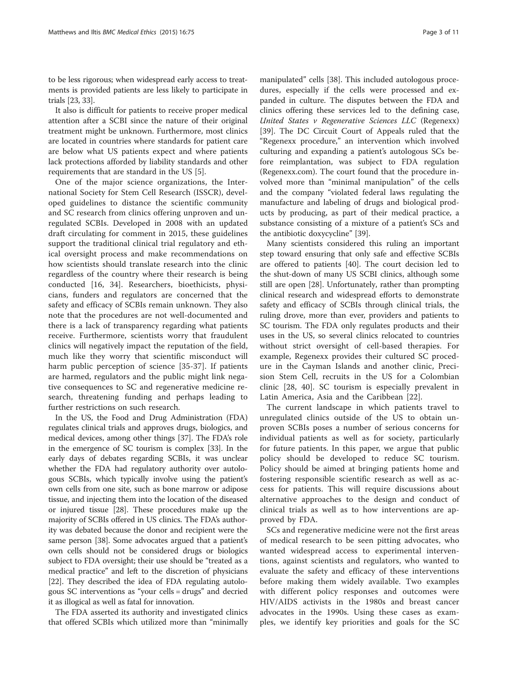to be less rigorous; when widespread early access to treatments is provided patients are less likely to participate in trials [\[23, 33](#page-9-0)].

It also is difficult for patients to receive proper medical attention after a SCBI since the nature of their original treatment might be unknown. Furthermore, most clinics are located in countries where standards for patient care are below what US patients expect and where patients lack protections afforded by liability standards and other requirements that are standard in the US [[5](#page-8-0)].

One of the major science organizations, the International Society for Stem Cell Research (ISSCR), developed guidelines to distance the scientific community and SC research from clinics offering unproven and unregulated SCBIs. Developed in 2008 with an updated draft circulating for comment in 2015, these guidelines support the traditional clinical trial regulatory and ethical oversight process and make recommendations on how scientists should translate research into the clinic regardless of the country where their research is being conducted [[16, 34\]](#page-9-0). Researchers, bioethicists, physicians, funders and regulators are concerned that the safety and efficacy of SCBIs remain unknown. They also note that the procedures are not well-documented and there is a lack of transparency regarding what patients receive. Furthermore, scientists worry that fraudulent clinics will negatively impact the reputation of the field, much like they worry that scientific misconduct will harm public perception of science [[35](#page-9-0)-[37\]](#page-9-0). If patients are harmed, regulators and the public might link negative consequences to SC and regenerative medicine research, threatening funding and perhaps leading to further restrictions on such research.

In the US, the Food and Drug Administration (FDA) regulates clinical trials and approves drugs, biologics, and medical devices, among other things [[37](#page-9-0)]. The FDA's role in the emergence of SC tourism is complex [\[33](#page-9-0)]. In the early days of debates regarding SCBIs, it was unclear whether the FDA had regulatory authority over autologous SCBIs, which typically involve using the patient's own cells from one site, such as bone marrow or adipose tissue, and injecting them into the location of the diseased or injured tissue [[28](#page-9-0)]. These procedures make up the majority of SCBIs offered in US clinics. The FDA's authority was debated because the donor and recipient were the same person [\[38\]](#page-9-0). Some advocates argued that a patient's own cells should not be considered drugs or biologics subject to FDA oversight; their use should be "treated as a medical practice" and left to the discretion of physicians [[22](#page-9-0)]. They described the idea of FDA regulating autologous SC interventions as "your cells = drugs" and decried it as illogical as well as fatal for innovation.

The FDA asserted its authority and investigated clinics that offered SCBIs which utilized more than "minimally

manipulated" cells [\[38](#page-9-0)]. This included autologous procedures, especially if the cells were processed and expanded in culture. The disputes between the FDA and clinics offering these services led to the defining case, United States v Regenerative Sciences LLC (Regenexx) [[39\]](#page-9-0). The DC Circuit Court of Appeals ruled that the "Regenexx procedure," an intervention which involved culturing and expanding a patient's autologous SCs before reimplantation, was subject to FDA regulation (Regenexx.com). The court found that the procedure involved more than "minimal manipulation" of the cells and the company "violated federal laws regulating the manufacture and labeling of drugs and biological products by producing, as part of their medical practice, a substance consisting of a mixture of a patient's SCs and the antibiotic doxycycline" [\[39](#page-9-0)].

Many scientists considered this ruling an important step toward ensuring that only safe and effective SCBIs are offered to patients [\[40\]](#page-9-0). The court decision led to the shut-down of many US SCBI clinics, although some still are open [[28\]](#page-9-0). Unfortunately, rather than prompting clinical research and widespread efforts to demonstrate safety and efficacy of SCBIs through clinical trials, the ruling drove, more than ever, providers and patients to SC tourism. The FDA only regulates products and their uses in the US, so several clinics relocated to countries without strict oversight of cell-based therapies. For example, Regenexx provides their cultured SC procedure in the Cayman Islands and another clinic, Precision Stem Cell, recruits in the US for a Colombian clinic [[28, 40](#page-9-0)]. SC tourism is especially prevalent in Latin America, Asia and the Caribbean [[22](#page-9-0)].

The current landscape in which patients travel to unregulated clinics outside of the US to obtain unproven SCBIs poses a number of serious concerns for individual patients as well as for society, particularly for future patients. In this paper, we argue that public policy should be developed to reduce SC tourism. Policy should be aimed at bringing patients home and fostering responsible scientific research as well as access for patients. This will require discussions about alternative approaches to the design and conduct of clinical trials as well as to how interventions are approved by FDA.

SCs and regenerative medicine were not the first areas of medical research to be seen pitting advocates, who wanted widespread access to experimental interventions, against scientists and regulators, who wanted to evaluate the safety and efficacy of these interventions before making them widely available. Two examples with different policy responses and outcomes were HIV/AIDS activists in the 1980s and breast cancer advocates in the 1990s. Using these cases as examples, we identify key priorities and goals for the SC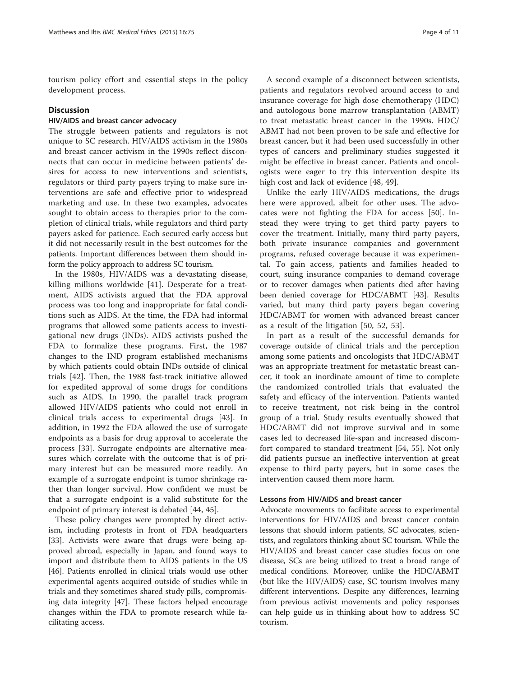tourism policy effort and essential steps in the policy development process.

# **Discussion**

# HIV/AIDS and breast cancer advocacy

The struggle between patients and regulators is not unique to SC research. HIV/AIDS activism in the 1980s and breast cancer activism in the 1990s reflect disconnects that can occur in medicine between patients' desires for access to new interventions and scientists, regulators or third party payers trying to make sure interventions are safe and effective prior to widespread marketing and use. In these two examples, advocates sought to obtain access to therapies prior to the completion of clinical trials, while regulators and third party payers asked for patience. Each secured early access but it did not necessarily result in the best outcomes for the patients. Important differences between them should inform the policy approach to address SC tourism.

In the 1980s, HIV/AIDS was a devastating disease, killing millions worldwide [\[41](#page-9-0)]. Desperate for a treatment, AIDS activists argued that the FDA approval process was too long and inappropriate for fatal conditions such as AIDS. At the time, the FDA had informal programs that allowed some patients access to investigational new drugs (INDs). AIDS activists pushed the FDA to formalize these programs. First, the 1987 changes to the IND program established mechanisms by which patients could obtain INDs outside of clinical trials [[42\]](#page-9-0). Then, the 1988 fast-track initiative allowed for expedited approval of some drugs for conditions such as AIDS. In 1990, the parallel track program allowed HIV/AIDS patients who could not enroll in clinical trials access to experimental drugs [[43\]](#page-9-0). In addition, in 1992 the FDA allowed the use of surrogate endpoints as a basis for drug approval to accelerate the process [\[33](#page-9-0)]. Surrogate endpoints are alternative measures which correlate with the outcome that is of primary interest but can be measured more readily. An example of a surrogate endpoint is tumor shrinkage rather than longer survival. How confident we must be that a surrogate endpoint is a valid substitute for the endpoint of primary interest is debated [[44](#page-9-0), [45](#page-9-0)].

These policy changes were prompted by direct activism, including protests in front of FDA headquarters [[33\]](#page-9-0). Activists were aware that drugs were being approved abroad, especially in Japan, and found ways to import and distribute them to AIDS patients in the US [[46\]](#page-9-0). Patients enrolled in clinical trials would use other experimental agents acquired outside of studies while in trials and they sometimes shared study pills, compromising data integrity [\[47\]](#page-9-0). These factors helped encourage changes within the FDA to promote research while facilitating access.

A second example of a disconnect between scientists, patients and regulators revolved around access to and insurance coverage for high dose chemotherapy (HDC) and autologous bone marrow transplantation (ABMT) to treat metastatic breast cancer in the 1990s. HDC/ ABMT had not been proven to be safe and effective for breast cancer, but it had been used successfully in other types of cancers and preliminary studies suggested it might be effective in breast cancer. Patients and oncologists were eager to try this intervention despite its high cost and lack of evidence [[48, 49](#page-9-0)].

Unlike the early HIV/AIDS medications, the drugs here were approved, albeit for other uses. The advocates were not fighting the FDA for access [\[50\]](#page-9-0). Instead they were trying to get third party payers to cover the treatment. Initially, many third party payers, both private insurance companies and government programs, refused coverage because it was experimental. To gain access, patients and families headed to court, suing insurance companies to demand coverage or to recover damages when patients died after having been denied coverage for HDC/ABMT [[43](#page-9-0)]. Results varied, but many third party payers began covering HDC/ABMT for women with advanced breast cancer as a result of the litigation [\[50](#page-9-0), [52](#page-9-0), [53\]](#page-9-0).

In part as a result of the successful demands for coverage outside of clinical trials and the perception among some patients and oncologists that HDC/ABMT was an appropriate treatment for metastatic breast cancer, it took an inordinate amount of time to complete the randomized controlled trials that evaluated the safety and efficacy of the intervention. Patients wanted to receive treatment, not risk being in the control group of a trial. Study results eventually showed that HDC/ABMT did not improve survival and in some cases led to decreased life-span and increased discomfort compared to standard treatment [[54, 55](#page-9-0)]. Not only did patients pursue an ineffective intervention at great expense to third party payers, but in some cases the intervention caused them more harm.

# Lessons from HIV/AIDS and breast cancer

Advocate movements to facilitate access to experimental interventions for HIV/AIDS and breast cancer contain lessons that should inform patients, SC advocates, scientists, and regulators thinking about SC tourism. While the HIV/AIDS and breast cancer case studies focus on one disease, SCs are being utilized to treat a broad range of medical conditions. Moreover, unlike the HDC/ABMT (but like the HIV/AIDS) case, SC tourism involves many different interventions. Despite any differences, learning from previous activist movements and policy responses can help guide us in thinking about how to address SC tourism.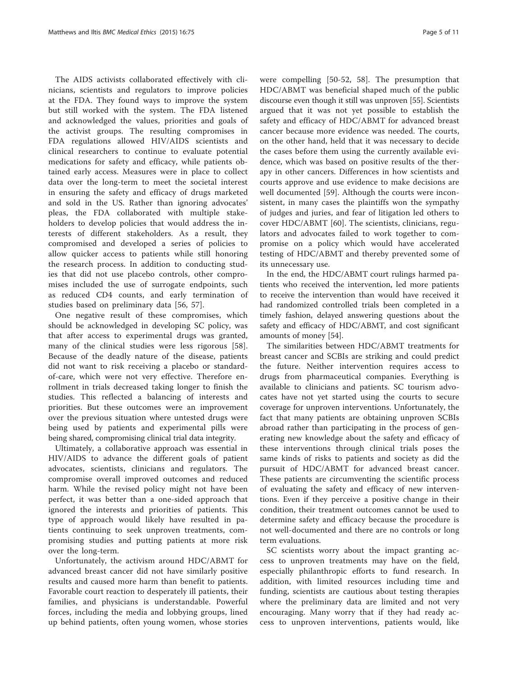The AIDS activists collaborated effectively with clinicians, scientists and regulators to improve policies at the FDA. They found ways to improve the system but still worked with the system. The FDA listened and acknowledged the values, priorities and goals of the activist groups. The resulting compromises in FDA regulations allowed HIV/AIDS scientists and clinical researchers to continue to evaluate potential medications for safety and efficacy, while patients obtained early access. Measures were in place to collect data over the long-term to meet the societal interest in ensuring the safety and efficacy of drugs marketed and sold in the US. Rather than ignoring advocates' pleas, the FDA collaborated with multiple stakeholders to develop policies that would address the interests of different stakeholders. As a result, they compromised and developed a series of policies to allow quicker access to patients while still honoring the research process. In addition to conducting studies that did not use placebo controls, other compromises included the use of surrogate endpoints, such as reduced CD4 counts, and early termination of studies based on preliminary data [[56](#page-9-0), [57](#page-9-0)].

One negative result of these compromises, which should be acknowledged in developing SC policy, was that after access to experimental drugs was granted, many of the clinical studies were less rigorous [\[58](#page-9-0)]. Because of the deadly nature of the disease, patients did not want to risk receiving a placebo or standardof-care, which were not very effective. Therefore enrollment in trials decreased taking longer to finish the studies. This reflected a balancing of interests and priorities. But these outcomes were an improvement over the previous situation where untested drugs were being used by patients and experimental pills were being shared, compromising clinical trial data integrity.

Ultimately, a collaborative approach was essential in HIV/AIDS to advance the different goals of patient advocates, scientists, clinicians and regulators. The compromise overall improved outcomes and reduced harm. While the revised policy might not have been perfect, it was better than a one-sided approach that ignored the interests and priorities of patients. This type of approach would likely have resulted in patients continuing to seek unproven treatments, compromising studies and putting patients at more risk over the long-term.

Unfortunately, the activism around HDC/ABMT for advanced breast cancer did not have similarly positive results and caused more harm than benefit to patients. Favorable court reaction to desperately ill patients, their families, and physicians is understandable. Powerful forces, including the media and lobbying groups, lined up behind patients, often young women, whose stories

were compelling [\[50](#page-9-0)-[52, 58](#page-9-0)]. The presumption that HDC/ABMT was beneficial shaped much of the public discourse even though it still was unproven [[55](#page-9-0)]. Scientists argued that it was not yet possible to establish the safety and efficacy of HDC/ABMT for advanced breast cancer because more evidence was needed. The courts, on the other hand, held that it was necessary to decide the cases before them using the currently available evidence, which was based on positive results of the therapy in other cancers. Differences in how scientists and courts approve and use evidence to make decisions are well documented [[59\]](#page-9-0). Although the courts were inconsistent, in many cases the plaintiffs won the sympathy of judges and juries, and fear of litigation led others to cover HDC/ABMT [[60\]](#page-9-0). The scientists, clinicians, regulators and advocates failed to work together to compromise on a policy which would have accelerated testing of HDC/ABMT and thereby prevented some of its unnecessary use.

In the end, the HDC/ABMT court rulings harmed patients who received the intervention, led more patients to receive the intervention than would have received it had randomized controlled trials been completed in a timely fashion, delayed answering questions about the safety and efficacy of HDC/ABMT, and cost significant amounts of money [[54](#page-9-0)].

The similarities between HDC/ABMT treatments for breast cancer and SCBIs are striking and could predict the future. Neither intervention requires access to drugs from pharmaceutical companies. Everything is available to clinicians and patients. SC tourism advocates have not yet started using the courts to secure coverage for unproven interventions. Unfortunately, the fact that many patients are obtaining unproven SCBIs abroad rather than participating in the process of generating new knowledge about the safety and efficacy of these interventions through clinical trials poses the same kinds of risks to patients and society as did the pursuit of HDC/ABMT for advanced breast cancer. These patients are circumventing the scientific process of evaluating the safety and efficacy of new interventions. Even if they perceive a positive change in their condition, their treatment outcomes cannot be used to determine safety and efficacy because the procedure is not well-documented and there are no controls or long term evaluations.

SC scientists worry about the impact granting access to unproven treatments may have on the field, especially philanthropic efforts to fund research. In addition, with limited resources including time and funding, scientists are cautious about testing therapies where the preliminary data are limited and not very encouraging. Many worry that if they had ready access to unproven interventions, patients would, like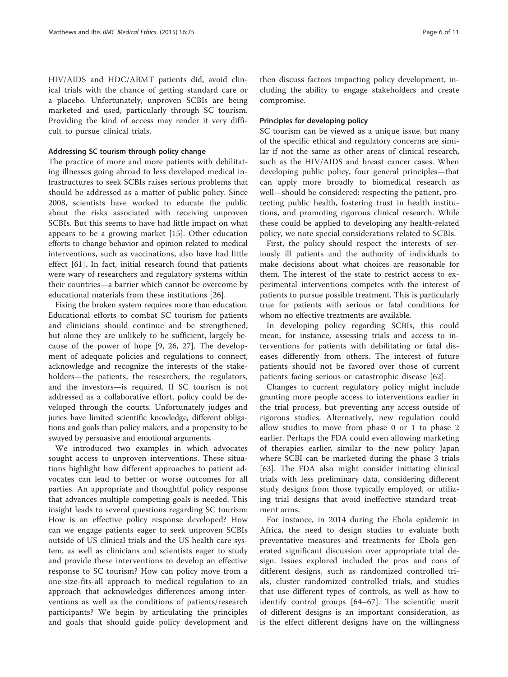HIV/AIDS and HDC/ABMT patients did, avoid clinical trials with the chance of getting standard care or a placebo. Unfortunately, unproven SCBIs are being marketed and used, particularly through SC tourism. Providing the kind of access may render it very difficult to pursue clinical trials.

### Addressing SC tourism through policy change

The practice of more and more patients with debilitating illnesses going abroad to less developed medical infrastructures to seek SCBIs raises serious problems that should be addressed as a matter of public policy. Since 2008, scientists have worked to educate the public about the risks associated with receiving unproven SCBIs. But this seems to have had little impact on what appears to be a growing market [[15\]](#page-9-0). Other education efforts to change behavior and opinion related to medical interventions, such as vaccinations, also have had little effect [[61\]](#page-9-0). In fact, initial research found that patients were wary of researchers and regulatory systems within their countries—a barrier which cannot be overcome by educational materials from these institutions [\[26](#page-9-0)].

Fixing the broken system requires more than education. Educational efforts to combat SC tourism for patients and clinicians should continue and be strengthened, but alone they are unlikely to be sufficient, largely because of the power of hope [\[9](#page-8-0), [26](#page-9-0), [27\]](#page-9-0). The development of adequate policies and regulations to connect, acknowledge and recognize the interests of the stakeholders—the patients, the researchers, the regulators, and the investors—is required. If SC tourism is not addressed as a collaborative effort, policy could be developed through the courts. Unfortunately judges and juries have limited scientific knowledge, different obligations and goals than policy makers, and a propensity to be swayed by persuasive and emotional arguments.

We introduced two examples in which advocates sought access to unproven interventions. These situations highlight how different approaches to patient advocates can lead to better or worse outcomes for all parties. An appropriate and thoughtful policy response that advances multiple competing goals is needed. This insight leads to several questions regarding SC tourism: How is an effective policy response developed? How can we engage patients eager to seek unproven SCBIs outside of US clinical trials and the US health care system, as well as clinicians and scientists eager to study and provide these interventions to develop an effective response to SC tourism? How can policy move from a one-size-fits-all approach to medical regulation to an approach that acknowledges differences among interventions as well as the conditions of patients/research participants? We begin by articulating the principles and goals that should guide policy development and

then discuss factors impacting policy development, including the ability to engage stakeholders and create compromise.

#### Principles for developing policy

SC tourism can be viewed as a unique issue, but many of the specific ethical and regulatory concerns are similar if not the same as other areas of clinical research, such as the HIV/AIDS and breast cancer cases. When developing public policy, four general principles—that can apply more broadly to biomedical research as well—should be considered: respecting the patient, protecting public health, fostering trust in health institutions, and promoting rigorous clinical research. While these could be applied to developing any health-related policy, we note special considerations related to SCBIs.

First, the policy should respect the interests of seriously ill patients and the authority of individuals to make decisions about what choices are reasonable for them. The interest of the state to restrict access to experimental interventions competes with the interest of patients to pursue possible treatment. This is particularly true for patients with serious or fatal conditions for whom no effective treatments are available.

In developing policy regarding SCBIs, this could mean, for instance, assessing trials and access to interventions for patients with debilitating or fatal diseases differently from others. The interest of future patients should not be favored over those of current patients facing serious or catastrophic disease [[62\]](#page-9-0).

Changes to current regulatory policy might include granting more people access to interventions earlier in the trial process, but preventing any access outside of rigorous studies. Alternatively, new regulation could allow studies to move from phase 0 or 1 to phase 2 earlier. Perhaps the FDA could even allowing marketing of therapies earlier, similar to the new policy Japan where SCBI can be marketed during the phase 3 trials [[63\]](#page-9-0). The FDA also might consider initiating clinical trials with less preliminary data, considering different study designs from those typically employed, or utilizing trial designs that avoid ineffective standard treatment arms.

For instance, in 2014 during the Ebola epidemic in Africa, the need to design studies to evaluate both preventative measures and treatments for Ebola generated significant discussion over appropriate trial design. Issues explored included the pros and cons of different designs, such as randomized controlled trials, cluster randomized controlled trials, and studies that use different types of controls, as well as how to identify control groups [\[64](#page-9-0)–[67\]](#page-9-0). The scientific merit of different designs is an important consideration, as is the effect different designs have on the willingness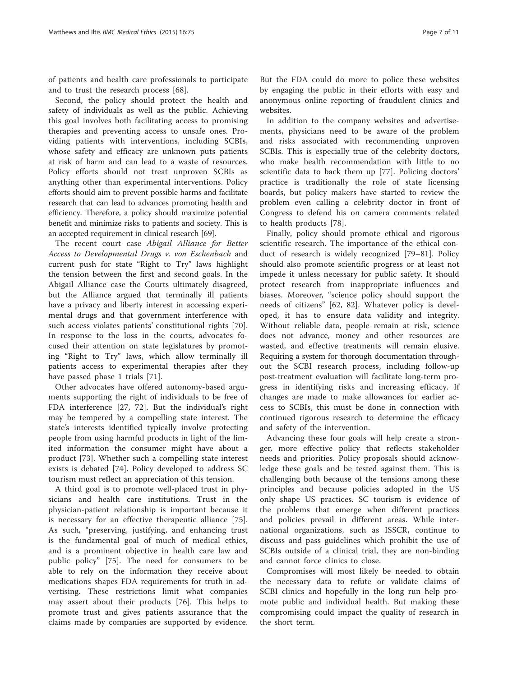of patients and health care professionals to participate and to trust the research process [[68\]](#page-9-0).

Second, the policy should protect the health and safety of individuals as well as the public. Achieving this goal involves both facilitating access to promising therapies and preventing access to unsafe ones. Providing patients with interventions, including SCBIs, whose safety and efficacy are unknown puts patients at risk of harm and can lead to a waste of resources. Policy efforts should not treat unproven SCBIs as anything other than experimental interventions. Policy efforts should aim to prevent possible harms and facilitate research that can lead to advances promoting health and efficiency. Therefore, a policy should maximize potential benefit and minimize risks to patients and society. This is an accepted requirement in clinical research [[69](#page-9-0)].

The recent court case Abigail Alliance for Better Access to Developmental Drugs v. von Eschenbach and current push for state "Right to Try" laws highlight the tension between the first and second goals. In the Abigail Alliance case the Courts ultimately disagreed, but the Alliance argued that terminally ill patients have a privacy and liberty interest in accessing experimental drugs and that government interference with such access violates patients' constitutional rights [\[70](#page-9-0)]. In response to the loss in the courts, advocates focused their attention on state legislatures by promoting "Right to Try" laws, which allow terminally ill patients access to experimental therapies after they have passed phase 1 trials [\[71](#page-9-0)].

Other advocates have offered autonomy-based arguments supporting the right of individuals to be free of FDA interference [[27, 72](#page-9-0)]. But the individual's right may be tempered by a compelling state interest. The state's interests identified typically involve protecting people from using harmful products in light of the limited information the consumer might have about a product [\[73](#page-10-0)]. Whether such a compelling state interest exists is debated [\[74](#page-10-0)]. Policy developed to address SC tourism must reflect an appreciation of this tension.

A third goal is to promote well-placed trust in physicians and health care institutions. Trust in the physician-patient relationship is important because it is necessary for an effective therapeutic alliance [\[75](#page-10-0)]. As such, "preserving, justifying, and enhancing trust is the fundamental goal of much of medical ethics, and is a prominent objective in health care law and public policy" [[75\]](#page-10-0). The need for consumers to be able to rely on the information they receive about medications shapes FDA requirements for truth in advertising. These restrictions limit what companies may assert about their products [\[76](#page-10-0)]. This helps to promote trust and gives patients assurance that the claims made by companies are supported by evidence.

But the FDA could do more to police these websites by engaging the public in their efforts with easy and anonymous online reporting of fraudulent clinics and websites.

In addition to the company websites and advertisements, physicians need to be aware of the problem and risks associated with recommending unproven SCBIs. This is especially true of the celebrity doctors, who make health recommendation with little to no scientific data to back them up [[77\]](#page-10-0). Policing doctors' practice is traditionally the role of state licensing boards, but policy makers have started to review the problem even calling a celebrity doctor in front of Congress to defend his on camera comments related to health products [[78\]](#page-10-0).

Finally, policy should promote ethical and rigorous scientific research. The importance of the ethical conduct of research is widely recognized [\[79](#page-10-0)–[81](#page-10-0)]. Policy should also promote scientific progress or at least not impede it unless necessary for public safety. It should protect research from inappropriate influences and biases. Moreover, "science policy should support the needs of citizens" [\[62](#page-9-0), [82](#page-10-0)]. Whatever policy is developed, it has to ensure data validity and integrity. Without reliable data, people remain at risk, science does not advance, money and other resources are wasted, and effective treatments will remain elusive. Requiring a system for thorough documentation throughout the SCBI research process, including follow-up post-treatment evaluation will facilitate long-term progress in identifying risks and increasing efficacy. If changes are made to make allowances for earlier access to SCBIs, this must be done in connection with continued rigorous research to determine the efficacy and safety of the intervention.

Advancing these four goals will help create a stronger, more effective policy that reflects stakeholder needs and priorities. Policy proposals should acknowledge these goals and be tested against them. This is challenging both because of the tensions among these principles and because policies adopted in the US only shape US practices. SC tourism is evidence of the problems that emerge when different practices and policies prevail in different areas. While international organizations, such as ISSCR, continue to discuss and pass guidelines which prohibit the use of SCBIs outside of a clinical trial, they are non-binding and cannot force clinics to close.

Compromises will most likely be needed to obtain the necessary data to refute or validate claims of SCBI clinics and hopefully in the long run help promote public and individual health. But making these compromising could impact the quality of research in the short term.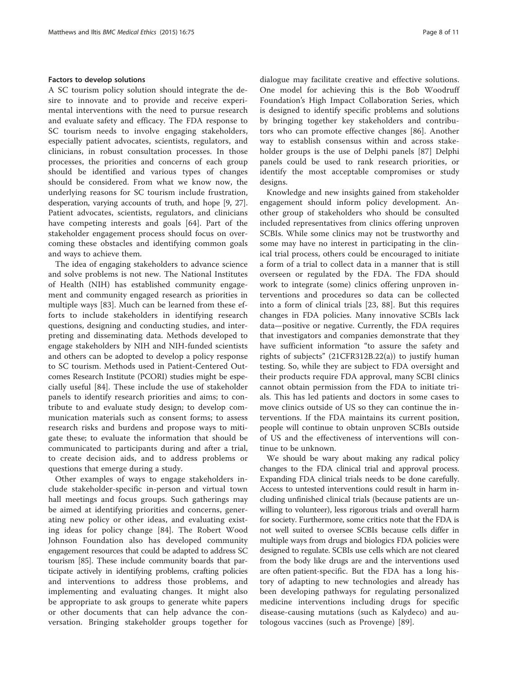#### Factors to develop solutions

A SC tourism policy solution should integrate the desire to innovate and to provide and receive experimental interventions with the need to pursue research and evaluate safety and efficacy. The FDA response to SC tourism needs to involve engaging stakeholders, especially patient advocates, scientists, regulators, and clinicians, in robust consultation processes. In those processes, the priorities and concerns of each group should be identified and various types of changes should be considered. From what we know now, the underlying reasons for SC tourism include frustration, desperation, varying accounts of truth, and hope [[9,](#page-8-0) [27](#page-9-0)]. Patient advocates, scientists, regulators, and clinicians have competing interests and goals [[64\]](#page-9-0). Part of the stakeholder engagement process should focus on overcoming these obstacles and identifying common goals and ways to achieve them.

The idea of engaging stakeholders to advance science and solve problems is not new. The National Institutes of Health (NIH) has established community engagement and community engaged research as priorities in multiple ways [[83\]](#page-10-0). Much can be learned from these efforts to include stakeholders in identifying research questions, designing and conducting studies, and interpreting and disseminating data. Methods developed to engage stakeholders by NIH and NIH-funded scientists and others can be adopted to develop a policy response to SC tourism. Methods used in Patient-Centered Outcomes Research Institute (PCORI) studies might be especially useful [[84\]](#page-10-0). These include the use of stakeholder panels to identify research priorities and aims; to contribute to and evaluate study design; to develop communication materials such as consent forms; to assess research risks and burdens and propose ways to mitigate these; to evaluate the information that should be communicated to participants during and after a trial, to create decision aids, and to address problems or questions that emerge during a study.

Other examples of ways to engage stakeholders include stakeholder-specific in-person and virtual town hall meetings and focus groups. Such gatherings may be aimed at identifying priorities and concerns, generating new policy or other ideas, and evaluating existing ideas for policy change [[84](#page-10-0)]. The Robert Wood Johnson Foundation also has developed community engagement resources that could be adapted to address SC tourism [[85](#page-10-0)]. These include community boards that participate actively in identifying problems, crafting policies and interventions to address those problems, and implementing and evaluating changes. It might also be appropriate to ask groups to generate white papers or other documents that can help advance the conversation. Bringing stakeholder groups together for

dialogue may facilitate creative and effective solutions. One model for achieving this is the Bob Woodruff Foundation's High Impact Collaboration Series, which is designed to identify specific problems and solutions by bringing together key stakeholders and contributors who can promote effective changes [\[86](#page-10-0)]. Another way to establish consensus within and across stakeholder groups is the use of Delphi panels [\[87](#page-10-0)] Delphi panels could be used to rank research priorities, or identify the most acceptable compromises or study designs.

Knowledge and new insights gained from stakeholder engagement should inform policy development. Another group of stakeholders who should be consulted included representatives from clinics offering unproven SCBIs. While some clinics may not be trustworthy and some may have no interest in participating in the clinical trial process, others could be encouraged to initiate a form of a trial to collect data in a manner that is still overseen or regulated by the FDA. The FDA should work to integrate (some) clinics offering unproven interventions and procedures so data can be collected into a form of clinical trials [[23,](#page-9-0) [88\]](#page-10-0). But this requires changes in FDA policies. Many innovative SCBIs lack data—positive or negative. Currently, the FDA requires that investigators and companies demonstrate that they have sufficient information "to assure the safety and rights of subjects" (21CFR312B.22(a)) to justify human testing. So, while they are subject to FDA oversight and their products require FDA approval, many SCBI clinics cannot obtain permission from the FDA to initiate trials. This has led patients and doctors in some cases to move clinics outside of US so they can continue the interventions. If the FDA maintains its current position, people will continue to obtain unproven SCBIs outside of US and the effectiveness of interventions will continue to be unknown.

We should be wary about making any radical policy changes to the FDA clinical trial and approval process. Expanding FDA clinical trials needs to be done carefully. Access to untested interventions could result in harm including unfinished clinical trials (because patients are unwilling to volunteer), less rigorous trials and overall harm for society. Furthermore, some critics note that the FDA is not well suited to oversee SCBIs because cells differ in multiple ways from drugs and biologics FDA policies were designed to regulate. SCBIs use cells which are not cleared from the body like drugs are and the interventions used are often patient-specific. But the FDA has a long history of adapting to new technologies and already has been developing pathways for regulating personalized medicine interventions including drugs for specific disease-causing mutations (such as Kalydeco) and autologous vaccines (such as Provenge) [\[89](#page-10-0)].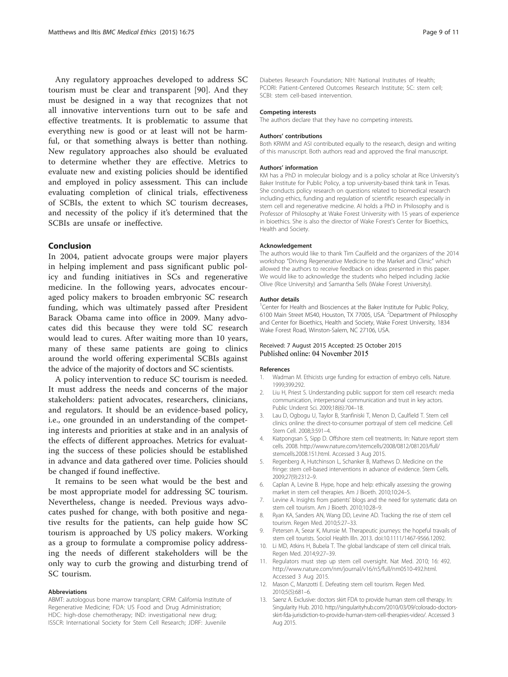<span id="page-8-0"></span>Any regulatory approaches developed to address SC tourism must be clear and transparent [\[90](#page-10-0)]. And they must be designed in a way that recognizes that not all innovative interventions turn out to be safe and effective treatments. It is problematic to assume that everything new is good or at least will not be harmful, or that something always is better than nothing. New regulatory approaches also should be evaluated to determine whether they are effective. Metrics to evaluate new and existing policies should be identified and employed in policy assessment. This can include evaluating completion of clinical trials, effectiveness of SCBIs, the extent to which SC tourism decreases, and necessity of the policy if it's determined that the SCBIs are unsafe or ineffective.

# Conclusion

In 2004, patient advocate groups were major players in helping implement and pass significant public policy and funding initiatives in SCs and regenerative medicine. In the following years, advocates encouraged policy makers to broaden embryonic SC research funding, which was ultimately passed after President Barack Obama came into office in 2009. Many advocates did this because they were told SC research would lead to cures. After waiting more than 10 years, many of these same patients are going to clinics around the world offering experimental SCBIs against the advice of the majority of doctors and SC scientists.

A policy intervention to reduce SC tourism is needed. It must address the needs and concerns of the major stakeholders: patient advocates, researchers, clinicians, and regulators. It should be an evidence-based policy, i.e., one grounded in an understanding of the competing interests and priorities at stake and in an analysis of the effects of different approaches. Metrics for evaluating the success of these policies should be established in advance and data gathered over time. Policies should be changed if found ineffective.

It remains to be seen what would be the best and be most appropriate model for addressing SC tourism. Nevertheless, change is needed. Previous ways advocates pushed for change, with both positive and negative results for the patients, can help guide how SC tourism is approached by US policy makers. Working as a group to formulate a compromise policy addressing the needs of different stakeholders will be the only way to curb the growing and disturbing trend of SC tourism.

#### Abbreviations

ABMT: autologous bone marrow transplant; CIRM: California Institute of Regenerative Medicine; FDA: US Food and Drug Administration; HDC: high-dose chemotherapy; IND: investigational new drug; ISSCR: International Society for Stem Cell Research; JDRF: Juvenile

Diabetes Research Foundation; NIH: National Institutes of Health; PCORI: Patient-Centered Outcomes Research Institute; SC: stem cell; SCBI: stem cell-based intervention.

#### Competing interests

The authors declare that they have no competing interests.

#### Authors' contributions

Both KRWM and ASI contributed equally to the research, design and writing of this manuscript. Both authors read and approved the final manuscript.

#### Authors' information

KM has a PhD in molecular biology and is a policy scholar at Rice University's Baker Institute for Public Policy, a top university-based think tank in Texas. She conducts policy research on questions related to biomedical research including ethics, funding and regulation of scientific research especially in stem cell and regenerative medicine. AI holds a PhD in Philosophy and is Professor of Philosophy at Wake Forest University with 15 years of experience in bioethics. She is also the director of Wake Forest's Center for Bioethics, Health and Society.

#### Acknowledgement

The authors would like to thank Tim Caulfield and the organizers of the 2014 workshop "Driving Regenerative Medicine to the Market and Clinic" which allowed the authors to receive feedback on ideas presented in this paper. We would like to acknowledge the students who helped including Jackie Olive (Rice University) and Samantha Sells (Wake Forest University).

#### Author details

<sup>1</sup> Center for Health and Biosciences at the Baker Institute for Public Policy, 6100 Main Street MS40, Houston, TX 77005, USA. <sup>2</sup>Department of Philosophy and Center for Bioethics, Health and Society, Wake Forest University, 1834 Wake Forest Road, Winston-Salem, NC 27106, USA.

### Received: 7 August 2015 Accepted: 25 October 2015 Published online: 04 November 2015

#### References

- 1. Wadman M. Ethicists urge funding for extraction of embryo cells. Nature. 1999;399:292.
- 2. Liu H, Priest S. Understanding public support for stem cell research: media communication, interpersonal communication and trust in key actors. Public Underst Sci. 2009;18(6):704–18.
- 3. Lau D, Ogbogu U, Taylor B, Stanfiniski T, Menon D, Caulfield T. Stem cell clinics online: the direct-to-consumer portrayal of stem cell medicine. Cell Stem Cell. 2008;3:591–4.
- 4. Kiatpongsan S, Sipp D. Offshore stem cell treatments. In: Nature report stem cells. 2008. [http://www.nature.com/stemcells/2008/0812/081203/full/](http://www.nature.com/stemcells/2008/0812/081203/full/stemcells.2008.151.html) [stemcells.2008.151.html](http://www.nature.com/stemcells/2008/0812/081203/full/stemcells.2008.151.html). Accessed 3 Aug 2015.
- 5. Regenberg A, Hutchinson L, Schanker B, Mathews D. Medicine on the fringe: stem cell-based interventions in advance of evidence. Stem Cells. 2009;27(9):2312–9.
- 6. Caplan A, Levine B. Hype, hope and help: ethically assessing the growing market in stem cell therapies. Am J Bioeth. 2010;10:24–5.
- 7. Levine A. Insights from patients' blogs and the need for systematic data on stem cell tourism. Am J Bioeth. 2010;10:28–9.
- 8. Ryan KA, Sanders AN, Wang DD, Levine AD. Tracking the rise of stem cell tourism. Regen Med. 2010;5:27–33.
- 9. Petersen A, Seear K, Munsie M. Therapeutic journeys: the hopeful travails of stem cell tourists. Sociol Health Illn. 2013. doi:[10.1111/1467-9566.12092.](http://dx.doi.org/10.1111/1467-9566.12092)
- 10. Li MD, Atkins H, Bubela T. The global landscape of stem cell clinical trials. Regen Med. 2014;9:27–39.
- 11. Regulators must step up stem cell oversight. Nat Med. 2010; 16: 492. <http://www.nature.com/nm/journal/v16/n5/full/nm0510-492.html>. Accessed 3 Aug 2015.
- 12. Mason C, Manzotti E. Defeating stem cell tourism. Regen Med. 2010;5(5):681–6.
- 13. Saenz A. Exclusive: doctors skirt FDA to provide human stem cell therapy. In: Singularity Hub. 2010. [http://singularityhub.com/2010/03/09/colorado-doctors](http://singularityhub.com/2010/03/09/colorado-doctors-skirt-fda-jurisdiction-to-provide-human-stem-cell-therapies-video/)[skirt-fda-jurisdiction-to-provide-human-stem-cell-therapies-video/](http://singularityhub.com/2010/03/09/colorado-doctors-skirt-fda-jurisdiction-to-provide-human-stem-cell-therapies-video/). Accessed 3 Aug 2015.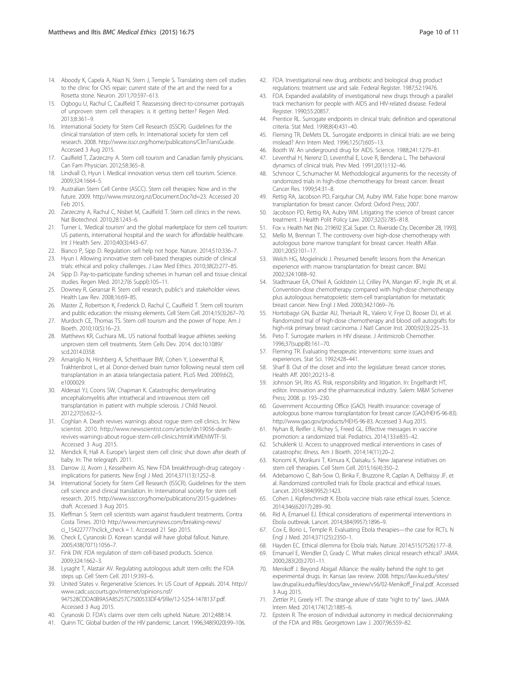- <span id="page-9-0"></span>14. Aboody K, Capela A, Niazi N, Stern J, Temple S. Translating stem cell studies to the clinic for CNS repair: current state of the art and the need for a Rosetta stone. Neuron. 2011;70:597–613.
- 15. Ogbogu U, Rachul C, Caulfield T. Reassessing direct-to-consumer portrayals of unproven stem cell therapies: is it getting better? Regen Med. 2013;8:361–9.
- 16. International Society for Stem Cell Research (ISSCR). Guidelines for the clinical translation of stem cells. In: International society for stem cell research. 2008. [http://www.isscr.org/home/publications/ClinTransGuide.](http://www.isscr.org/home/publications/ClinTransGuide) Accessed 3 Aug 2015.
- 17. Caulfield T, Zarzeczny A. Stem cell tourism and Canadian family physicians. Can Fam Physician. 2012;58:365–8.
- 18. Lindvall O, Hyun I. Medical innovation versus stem cell tourism. Science. 2009;324:1664–5.
- 19. Australian Stem Cell Centre (ASCC). Stem cell therapies: Now and in the future. 2009. [http://www.msnz.org.nz/Document.Doc?id=23.](http://www.msnz.org.nz/Document.Doc?id=23) Accessed 20 Feb 2015.
- 20. Zarzeczny A, Rachul C, Nisbet M, Caulfield T. Stem cell clinics in the news. Nat Biotechnol. 2010;28:1243–6.
- 21. Turner L. 'Medical tourism' and the global marketplace for stem cell tourism: US patients, international hospital and the search for affordable healthcare. Int J Health Serv. 2010;40(3):443–67.
- 22. Bianco P, Sipp D. Regulation: sell help not hope. Nature. 2014;510:336–7.
- 23. Hyun I. Allowing innovative stem cell-based therapies outside of clinical trials: ethical and policy challenges. J Law Med Ethics. 2010;38(2):277–85.
- 24. Sipp D. Pay-to-participate funding schemes in human cell and tissue clinical studies. Regen Med. 2012;7(6 Suppl):105–11.
- 25. Downey R, Geransar R. Stem cell research, public's and stakeholder views. Health Law Rev. 2008;16:69–85.
- 26. Master Z, Robertson K, Frederick D, Rachul C, Caulfield T. Stem cell tourism and public education: the missing elements. Cell Stem Cell. 2014;15(3):267–70.
- 27. Murdoch CE, Thomas TS. Stem cell tourism and the power of hope. Am J Bioeth. 2010;10(5):16–23.
- 28. Matthews KR, Cuchiara ML. US national football league athletes seeking unproven stem cell treatments. Stem Cells Dev. 2014. doi:[10.1089/](http://dx.doi.org/10.1089/scd.2014.0358) [scd.2014.0358.](http://dx.doi.org/10.1089/scd.2014.0358)
- 29. Amariglio N, Hirshberg A, Scheithauer BW, Cohen Y, Loewenthal R, Trakhtenbrot L, et al. Donor-derived brain tumor following neural stem cell transplantation in an ataxia telangiectasia patient. PLoS Med. 2009;6(2), e1000029.
- 30. Alderazi YJ, Coons SW, Chapman K. Catastrophic demyelinating encephalomyelitis after intrathecal and intravenous stem cell transplantation in patient with multiple sclerosis. J Child Neurol. 2012;27(5):632–5.
- 31. Coghlan A. Death revives warnings about rogue stem cell clinics. In: New scientist. 2010. [http://www.newscientist.com/article/dn19056-death](http://www.newscientist.com/article/dn19056-death-revives-warnings-about-rogue-stem-cell-clinics.html#.VMEhIWTF-5I)[revives-warnings-about-rogue-stem-cell-clinics.html#.VMEhIWTF-5I.](http://www.newscientist.com/article/dn19056-death-revives-warnings-about-rogue-stem-cell-clinics.html#.VMEhIWTF-5I) Accessed 3 Aug 2015.
- 32. Mendick R, Hall A. Europe's largest stem cell clinic shut down after death of baby. In: The telegraph. 2011.
- 33. Darrow JJ, Avorn J, Kesselheim AS. New FDA breakthrough-drug category implications for patients. New Engl J Med. 2014;371(13):1252–8.
- 34. International Society for Stem Cell Research (ISSCR). Guidelines for the stem cell science and clinical translation. In: International society for stem cell research. 2015. [http://www.isscr.org/home/publications/2015-guidelines](http://www.isscr.org/home/publications/2015-guidelines-draft)[draft.](http://www.isscr.org/home/publications/2015-guidelines-draft) Accessed 3 Aug 2015.
- 35. Kleffman S. Stem cell scientists warn against fraudulent treatments. Contra Costa Times. 2010: [http://www.mercurynews.com/breaking-news/](http://www.mercurynews.com/breaking-news/ci_15422777?nclick_check) [ci\\_15422777?nclick\\_check](http://www.mercurynews.com/breaking-news/ci_15422777?nclick_check) = 1. Accessed 21 Sep 2015.
- 36. Check E, Cyranoski D. Korean scandal will have global fallout. Nature. 2005;438(7071):1056–7.
- 37. Fink DW. FDA regulation of stem cell-based products. Science. 2009;324:1662–3.
- 38. Lysaght T, Alastair AV. Regulating autologous adult stem cells: the FDA steps up. Cell Stem Cell. 2011;9:393–6.
- 39. United States v. Regenerative Sciences. In: US Court of Appeals. 2014. [http://](http://www.cadc.uscourts.gov/internet/opinions.nsf/947528CDDA0B9A5A85257C7500533DF4/0ile/12-5254-1478137.pdf) [www.cadc.uscourts.gov/internet/opinions.nsf/](http://www.cadc.uscourts.gov/internet/opinions.nsf/947528CDDA0B9A5A85257C7500533DF4/0ile/12-5254-1478137.pdf) [947528CDDA0B9A5A85257C7500533DF4/\\$file/12-5254-1478137.pdf.](http://www.cadc.uscourts.gov/internet/opinions.nsf/947528CDDA0B9A5A85257C7500533DF4/0ile/12-5254-1478137.pdf) Accessed 3 Aug 2015.
- 40. Cyranoski D. FDA's claims over stem cells upheld. Nature. 2012;488:14.
- 41. Quinn TC. Global burden of the HIV pandemic. Lancet. 1996;348(9020):99–106.
- 42. FDA. Investigational new drug, antibiotic and biological drug product regulations: treatment use and sale. Federal Register. 1987;52:19476.
- 43. FDA. Expanded availability of investigational new drugs through a parallel track mechanism for people with AIDS and HIV-related disease. Federal Register. 1990;55:20857.
- Prentice RL. Surrogate endpoints in clinical trials: definition and operational criteria. Stat Med. 1998;8(4):431–40.
- 45. Fleming TR, DeMets DL. Surrogate endpoints in clinical trials: are we being mislead? Ann Intern Med. 1996;125(7):605–13.
- 46. Booth W. An underground drug for AIDS. Science. 1988;241:1279–81.
- 47. Leventhal H, Nerenz D, Leventhal E, Love R, Bendena L. The behavioral dynamics of clinical trials. Prev Med. 1991;20(1):132–46.
- 48. Schmoor C, Schumacher M. Methodological arguments for the necessity of randomized trials in high-dose chemotherapy for breast cancer. Breast Cancer Res. 1999;54:31–8.
- 49. Rettig RA, Jacobson PD, Farquhar CM, Aubry WM. False hope: bone marrow transplantation for breast cancer. Oxford: Oxford Press; 2007.
- 50. Jacobson PD, Rettig RA, Aubry WM. Litigating the science of breast cancer treatment. J Health Polit Policy Law. 2007;32(5):785–818.
- 51. Fox v. Health Net (No. 219692 [Cal. Super. Ct. Riverside Cty. December 28, 1993].
- 52. Mello M, Brennan T. The controversy over high-dose chemotherapy with autologous bone marrow transplant for breast cancer. Health Affair. 2001;20(5):101–17.
- 53. Welch HG, Mogielnicki J. Presumed benefit: lessons from the American experience with marrow transplantation for breast cancer. BMJ. 2002;324:1088–92.
- 54. Stadtmauer EA, O'Neil A, Goldstein LJ, Crilley PA, Mangan KF, Ingle JN, et al. Convention-dose chemotherapy compared with high-dose chemotherapy plus autologous hematopoietic stem-cell transplantation for metastatic breast cancer. New Engl J Med. 2000;342:1069–76.
- 55. Hortobagyi GN, Buzdar AU, Theriault RL, Valero V, Frye D, Booser DJ, et al. Randomized trial of high-dose chemotherapy and blood cell autografts for high-risk primary breast carcinoma. J Natl Cancer Inst. 2000;92(3):225–33.
- 56. Peto T. Surrogate markers in HIV disease. J Antimicrob Chemother. 1996;37(supplB):161–70.
- 57. Fleming TR. Evaluating therapeutic interventions: some issues and experiences. Stat Sci. 1992;428–441.
- 58. Sharf B. Out of the closet and into the legislature: breast cancer stories. Health Aff. 2001;20:213–8.
- 59. Johnson SH, Iltis AS. Risk, responsibility and litigation. In: Engelhardt HT, editor. Innovation and the pharmaceutical industry. Salem: M&M Scrivener Press; 2008. p. 193–230.
- 60. Government Accounting Office (GAO). Health insurance: coverage of autologous bone marrow transplantation for breast cancer (GAO/HEHS-96-83). [http://www.gao.gov/products/HEHS-96-83.](http://www.gao.gov/products/HEHS-96-83) Accessed 3 Aug 2015.
- 61. Nyhan B, Reifler J, Richey S, Freed GL. Effective messages in vaccine promotion: a randomized trial. Pediatrics. 2014;133:e835–42.
- 62. Schuklenk U. Access to unapproved medical interventions in cases of catastrophic illness. Am J Bioeth. 2014;14(11):20–2.
- 63. Konomi K, Morikuni T, Kimura K, Daisaku S. New Japanese initiatives on stem cell therapies. Cell Stem Cell. 2015;16(4):350–2.
- 64. Adebamowo C, Bah-Sow O, Binka F, Bruzzone R, Caplan A, Delfraissy JF, et al. Randomized controlled trials for Ebola: practical and ethical issues. Lancet. 2014;384(9952):1423.
- 65. Cohen J, Kipferschmidt K. Ebola vaccine trials raise ethical issues. Science. 2014;346(62017):289–90.
- 66. Rid A, Emanuel EJ. Ethical considerations of experimental interventions in Ebola outbreak. Lancet. 2014;384(9957):1896–9.
- 67. Cox E, Borio L, Temple R. Evaluating Ebola therapies—the case for RCTs. N Engl J Med. 2014;371(25):2350–1.
- 68. Hayden EC. Ethical dilemma for Ebola trials. Nature. 2014;515(7526):177–8.
- 69. Emanuel E, Wendler D, Grady C. What makes clinical research ethical? JAMA. 2000;283(20):2701–11.
- 70. Menikoff J. Beyond Abigail Alliance: the reality behind the right to get experimental drugs. In: Kansas law review. 2008. [https://law.ku.edu/sites/](https://law.ku.edu/sites/law.drupal.ku.edu/files/docs/law_review/v56/02-Menikoff_Final.pdf) [law.drupal.ku.edu/files/docs/law\\_review/v56/02-Menikoff\\_Final.pdf](https://law.ku.edu/sites/law.drupal.ku.edu/files/docs/law_review/v56/02-Menikoff_Final.pdf). Accessed 3 Aug 2015.
- 71. Zettler PJ, Greely HT. The strange allure of state "right to try" laws. JAMA Intern Med. 2014;174(12):1885–6.
- 72. Epstein R. The erosion of individual autonomy in medical decisionmaking: of the FDA and IRBs. Georgetown Law J. 2007;96:559–82.